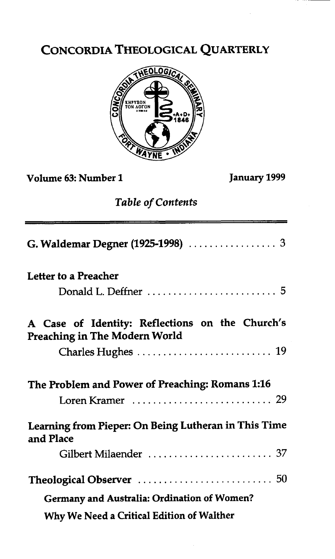# CONCORDIA THEOLOGICAL QUARTERLY



## Volume 63: Number **1** January **1999**

## *Table* **of Contents**

| <b>Table of Contents</b>                                                                |
|-----------------------------------------------------------------------------------------|
|                                                                                         |
| Letter to a Preacher                                                                    |
|                                                                                         |
| A Case of Identity: Reflections on the Church's<br><b>Preaching in The Modern World</b> |
|                                                                                         |
| The Problem and Power of Preaching: Romans 1:16                                         |
|                                                                                         |
| Learning from Pieper: On Being Lutheran in This Time<br>and Place                       |
| Gilbert Milaender  37                                                                   |
|                                                                                         |
| <b>Germany and Australia: Ordination of Women?</b>                                      |
| Why We Need a Critical Edition of Walther                                               |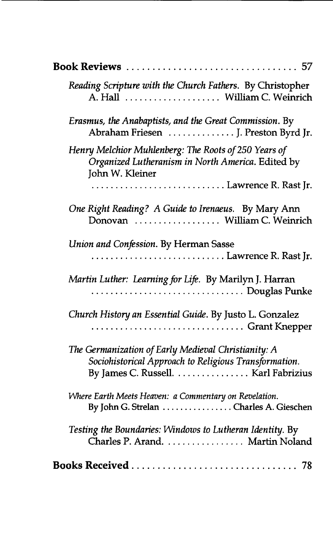| <b>Book Reviews</b> 57                                                                                                                              |
|-----------------------------------------------------------------------------------------------------------------------------------------------------|
| Reading Scripture with the Church Fathers. By Christopher<br>A. Hall  William C. Weinrich                                                           |
| Erasmus, the Anabaptists, and the Great Commission. By<br>Abraham Friesen  J. Preston Byrd Jr.                                                      |
| Henry Melchior Muhlenberg: The Roots of 250 Years of<br>Organized Lutheranism in North America. Edited by<br>John W. Kleiner                        |
| Lawrence R. Rast Jr.                                                                                                                                |
| One Right Reading? A Guide to Irenaeus. By Mary Ann<br>Donovan  William C. Weinrich                                                                 |
| Union and Confession. By Herman Sasse<br>Lawrence R. Rast Jr.                                                                                       |
| Martin Luther: Learning for Life. By Marilyn J. Harran<br>Douglas Punke                                                                             |
| Church History an Essential Guide. By Justo L. Gonzalez<br>Grant Knepper                                                                            |
| The Germanization of Early Medieval Christianity: A<br>Sociohistorical Approach to Religious Transformation.<br>By James C. Russell. Karl Fabrizius |
| Where Earth Meets Heaven: a Commentary on Revelation.<br>By John G. Strelan Charles A. Gieschen                                                     |
| Testing the Boundaries: Windows to Lutheran Identity. By<br>Charles P. Arand. Martin Noland                                                         |
|                                                                                                                                                     |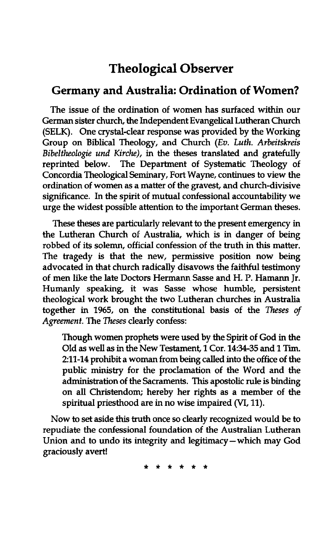## **Theological Observer**

### **Germany and Australia: Ordination of Women?**

The issue of the ordination of women has surfaced within our German sister church, the Independent Evangelical Lutheran Church (SELK). One crystal-clear response was provided by the Working Group on Biblical Theology, and Church (Ev. Luth. Arbeitskreis Bibeltheologie und Kirche), in the theses translated and gratefully reprinted below. The Department of Systematic Theology of The Department of Systematic Theology of Concordia Theological **Seminary,** Fort Wayne, continues to view the ordination of women as a matter of the gravest, and church-divisive significance. In the spirit of mutual confessional accountability we urge the widest possible attention to the important German theses.

These theses are particularly relevant to the present emergency in the Lutheran Church of Australia, which is in danger of being robbed of its solemn, official confession of the truth in this matter. The tragedy is that the new, permissive position now being advocated in that church radically disavows the faithful testimony of men like the late Doctors Hermann Sasse and H. P. Hamann Jr. Humanly speaking, it was Sasse whose humble, persistent theological work brought the two Lutheran churches in Australia together in 1965, on the constitutional basis of the Theses of Agreement. The Theses clearly confess:

Though women prophets were used by the Spirit of God in the Old as well as in the New Testament, 1 Cor. 1434-35 and 1 Tim. 211-14 prohibit a woman from being called into the office of the public ministry for the proclamation of the Word and the administration of the Sacraments. This apostolic rule is binding on all Christendom; hereby her rights as a member of the spiritual priesthood are in no wise impaired **(VI,** 11).

Now to set aside this truth once so clearly recognized would be to repudiate the confessional foundation of the Australian Lutheran Union and to undo its integrity and legitimacy-which may God graciously avert!

\* \* \* \* \* \*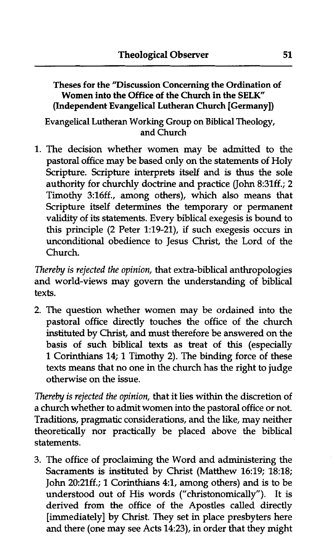Theses for the "Discussion Concerning the Ordination of Women into the Office of the Church in the **SELK"**  (Independent Evangelical Lutheran Church [Germany])

Evangelical Lutheran Working Group on Biblical Theology, and Church

1. The decision whether women may be admitted to the pastoral office may be based only on the statements of Holy Scripture. Scripture interprets itself and is thus the sole authority for churchly doctrine and practice (John 8:31ff.; 2 Timothy 3:16ff., among others), which also means that Scripture itself determines the temporary or permanent validity of its statements. Every biblical exegesis is bound to this principle (2 Peter 1:19-21), if such exegesis occurs in unconditional obedience to Jesus Christ, the Lord of the Church.

*Thereby is rejected the* opinion, that extra-biblical anthropologies and world-views may govern the understanding of biblical texts.

2. The question whether women may be ordained into the pastoral office directly touches the office of the church instituted by Christ, and must therefore be answered on the basis of such biblical texts as treat of this (especially 1 Corinthians 14; 1 Timothy 2). The binding force of these texts means that no one in the church has the right to judge otherwise on the issue.

*Thereby* is *rejected the* opinion, that it lies within the discretion of a church whether to admit women into the pastoral office or not. Traditions, pragmatic considerations, and the like, may neither theoretically nor practically be placed above the biblical statements.

3. The office of proclaiming the Word and administering the Sacraments is instituted by Christ (Matthew 16:19; 18:18; John 20:21ff.; 1 Corinthians 4:1, among others) and is to be understood out of His words ("christonomically"). It is derived from the office of the Apostles called directly [immediately] by Christ. They set in place presbyters here and there (one may see Acts 14:23), in order that they might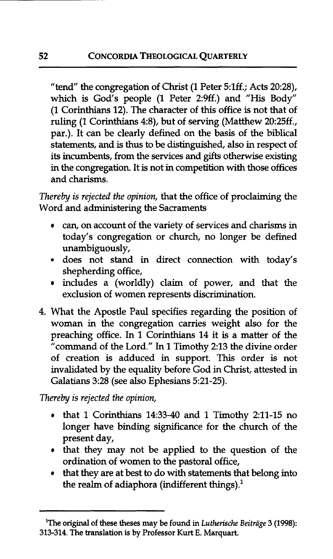"tend" the congregation of Christ (1 Peter 5:1ff.; Acts 20:28), which is God's people (1 Peter 2:9ff.) and "His Body" (1 Corinthians 12). The character of this office is not that of ruling (1 Corinthians 4:8), but of serving (Matthew 20:25ff., par.). It can be clearly defined on the basis of the biblical statements, and is **thus** to be distinguished, also in respect of its incumbents, from the services and gifts otherwise existing in the congregation. It is not **in** competition with those offices and charisms.

*Thereby* is *rejected the* opinion, that the office of proclaiming the Word and administering the Sacraments

- can, on account of the variety of services and charisms in today's congregation or church, no longer be defined unambiguously,
- does not stand in direct connection with today's shepherding office,
- includes a (worldly) claim of power, and that the exclusion of women represents discrimination.
- 4. What the Apostle Paul specifies regarding the position of woman in the congregation carries weight also for the preaching office. In 1 Corinthians 14 it is a matter of the "command of the Lord." In 1 Timothy 2:13 the divine order of creation is adduced in support. This order is not invalidated by the equality before God in Christ, attested in Galatians 3:28 (see also Ephesians 5:21-25).

*Thereby is rejected the* opinion,

- that 1 Corinthians 14:33-40 and 1 Timothy 2:ll-15 no longer have binding significance for the church of the present day,
- that they may not be applied to the question of the ordination of women to the pastoral office,
- that they are at best to do with statements that belong into the realm of adiaphora (indifferent things). $<sup>1</sup>$ </sup>

<sup>&</sup>lt;sup>1</sup>The original of these theses may be found in *Lutherische Beiträge* 3 (1998): **313-314. The translation is by Professor Kurt E. Marquart.**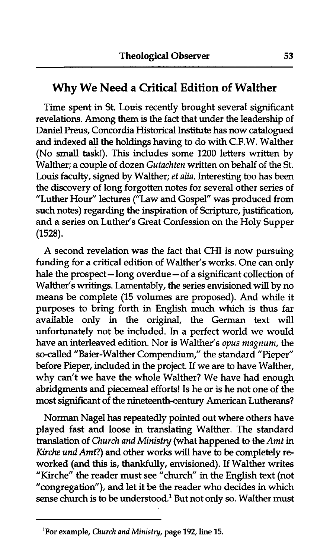### **Why We Need a Critical Edition of Walther**

Time spent in St. Louis recently brought several sigruficant revelations. Among them is the fact that under the leadership of Daniel Preus, Concordia Historical Institute has now catalogued and indexed all the holdings having to do with C.F.W. Walther (No small task!). This includes some 1200 letters written by Walther; a couple of dozen *Gutachten* written on behalf of the St. Louis faculty, signed by Walther; *et alia.* Interesting too has been the discovery of long forgotten notes for several other series of "Luther Hour" lectures ("Law and Gospel" was produced from such notes) regarding the inspiration of Scripture, justification, and a series on Luther's Great Confession on the Holy Supper (1528).

A second revelation was the fact that CHI is now pursuing funding for a critical edition of Walther's works. One can only<br>hale the prospect—long overdue—of a significant collection of hale the prospect-long overdue-of a significant collection of<br>Walther's writings. Lamentably, the series envisioned will by no means be complete (15 volumes are proposed). And while it purposes to bring forth in English much which is thus far available only in the original, the German text will unfortunately not be included. In a perfect world we would have an interleaved edition. Nor is Walther's *opus magnum,* the so-called "Baier-Walther Compendium," the standard "Pieper" before Pieper, included in the project. If we are to have Walther, why can't we have the whole Walther? We have had enough abridgments and piecemeal efforts! Is he or is he not one of the most significant of the nineteenth-century American Lutherans?

Norman Nagel has repeatedly pointed out where others have played fast and loose in translating Walther. The standard translation of *Church and Ministry* (what happened to the *Amt* in *Kirche und* Amt?) and other works will have to be completely reworked (and this is, thankfully, envisioned). If Walther writes "Kirche" the reader must see "church" in the English text (not "congregation"), and let it be the reader who decides in which sense church is to be understood.' But not only so. Walther must

**<sup>&#</sup>x27;For** example, Church and **Ministry,** page 192, line 15.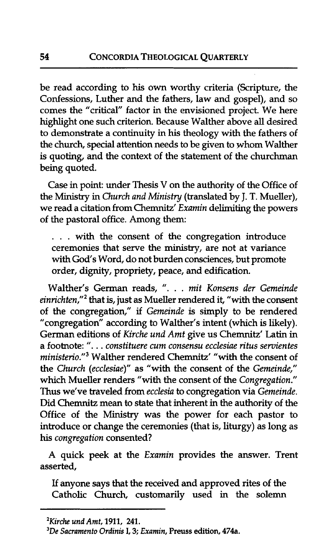be read according to his own worthy criteria (Scripture, the Confessions, Luther and the fathers, law and gospel), and so comes the "critical" factor in the envisioned project. We here highhght one such criterion. Because Walther above **all** desired to demonstrate a continuity in his theology with the fathers of the church, special attention needs to be given to whom Walther is quoting, and the context of the statement of the churchman being quoted.

Case in point: under Thesis V on the authority of the Office of the Ministry in Church and Ministry (translated by J. T. Mueller), we read a citation from Chemnitz' Examin delimiting the powers of the pastoral office. Among them:

. . . with the consent of the congregation introduce ceremonies that serve the ministry, are not at variance **with** God's Word, do not burden consciences, but promote order, **dignity,** propriety, peace, and edification.

Walther's German reads, ". . . mit Konsens der Gemeinde  $einrichten,"<sup>2</sup>$  that is, just as Mueller rendered it, "with the consent of the congregation," if Gemeinde is simply to be rendered "congregation" according to Walther's intent (which is likely). German editions of Kirche und Amt give us Chemnitz' Latin in a footnote: ". . . constituere cum consensu ecclesiae ritus servientes ministerio."<sup>3</sup> Walther rendered Chemnitz' "with the consent of the Church (ecclesiae)" as "with the consent of the Gemeinde," which Mueller renders "with the consent of the Congregation." Thus we've traveled from ecclesia to congregation via Gemeinde. Did Chemnitz mean to state that inherent in the authority of the Office of the Ministry was the power for each pastor to introduce or change the ceremonies (that is, liturgy) as long as his congregation consented?

**A** quick peek at the Examin provides the answer. Trent asserted,

If anyone says that the received and approved rites of the Catholic Church, customarily used in the solemn

<sup>&#</sup>x27;Kirche und **Arnt, 1911, 241.** 

*<sup>3</sup>De* Sacramento Ordinis I, **3;** Examin, **Preuss edition, 474a.**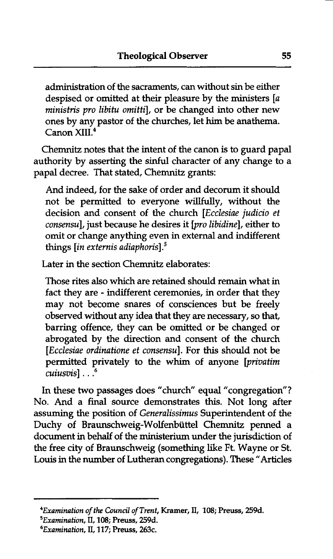administration of the sacraments, can without sin be either despised or omitted at their pleasure by the ministers [a ministris pro libitu omittil, or be changed into other new ones by any pastor of the churches, let him be anathema. Canon XIII<sup>4</sup>

Chemnitz notes that the intent of the canon is to guard papal authority by asserting the sinful character of any change to a papal decree. That stated, Chemnitz grants:

And indeed, for the sake of order and decorum it should not be permitted to everyone willfully, without the decision and consent of the church [Ecclesiae judicio et consensu], just because he desires it [pro libidine], either to omit or change anything even in external and indifferent things *lin externis adiaphoris*<sup>1</sup>.<sup>5</sup>

Later in the section Chemnitz elaborates:

Those rites also which are retained should remain what in fact they are - indifferent ceremonies, in order that they may not become snares of consciences but be freely observed without any idea that they are necessary, so that, barring offence, they can be omitted or be changed or abrogated by the direction and consent of the church [Ecclesiae ordinatione et consensu]. For this should not be permitted privately to the whim of anyone [privatim cuiusvis] . . **.6** 

In these two passages does "church" equal "congregation"? No. And a **final** source demonstrates this. Not long after assuming the position of Generalissimus Superintendent of the Duchy of **Braunschweig-Wolfenbiittel** Chemnitz penned a document in **behalf** of the ministerium under the jurisdiction of the free city of Braunschweig (something like Ft. Wayne or St. Louis in the number of Lutheran congregations). These "Articles

*<sup>\*</sup>Examination of the Council of Trent,* **Kramer, 11, 108; Preuss, 259d.** 

*SExamination,* **11,108; Preuss, 259d.** 

*<sup>6</sup>Examination,* **11,117; Preuss, 263c.**